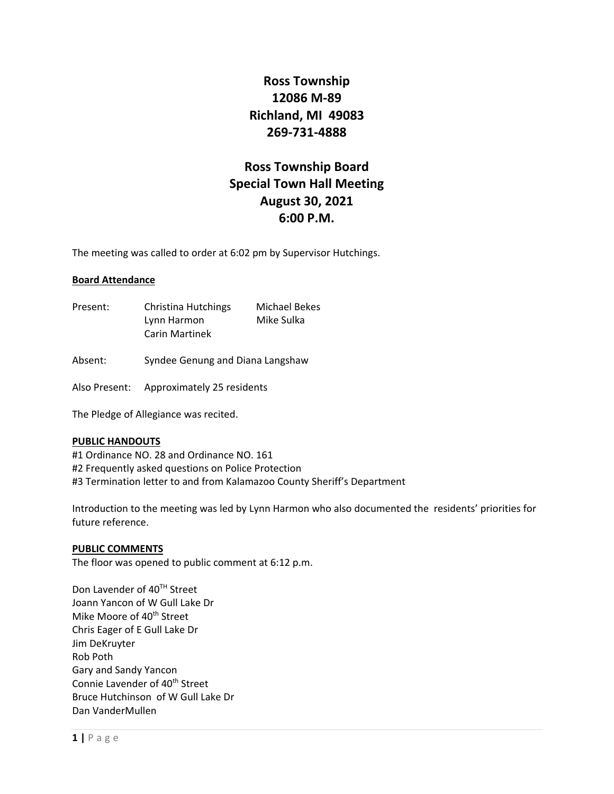## **Ross Township 12086 M‐89 Richland, MI 49083 269‐731‐4888**

# **Ross Township Board Special Town Hall Meeting August 30, 2021 6:00 P.M.**

The meeting was called to order at 6:02 pm by Supervisor Hutchings.

### **Board Attendance**

- Present: Christina Hutchings Michael Bekes Lynn Harmon Mike Sulka Carin Martinek
- Absent: Syndee Genung and Diana Langshaw

Also Present: Approximately 25 residents

The Pledge of Allegiance was recited.

### **PUBLIC HANDOUTS**

#1 Ordinance NO. 28 and Ordinance NO. 161 #2 Frequently asked questions on Police Protection #3 Termination letter to and from Kalamazoo County Sheriff's Department

Introduction to the meeting was led by Lynn Harmon who also documented the residents' priorities for future reference.

### **PUBLIC COMMENTS**

The floor was opened to public comment at 6:12 p.m.

Don Lavender of 40<sup>TH</sup> Street Joann Yancon of W Gull Lake Dr Mike Moore of 40<sup>th</sup> Street Chris Eager of E Gull Lake Dr Jim DeKruyter Rob Poth Gary and Sandy Yancon Connie Lavender of 40<sup>th</sup> Street Bruce Hutchinson of W Gull Lake Dr Dan VanderMullen